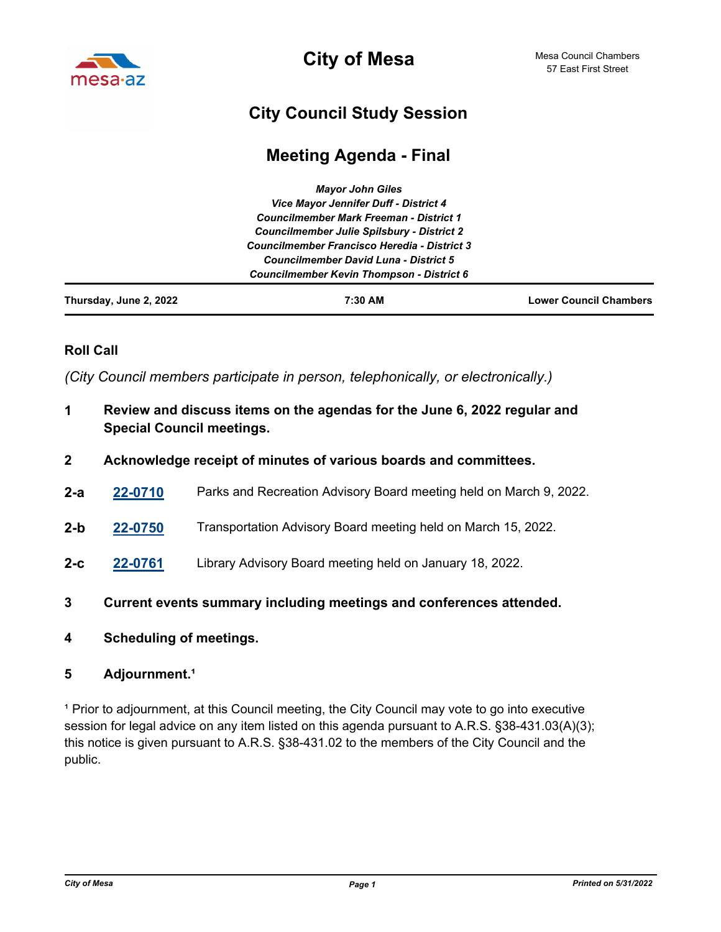

**City of Mesa**

## **City Council Study Session**

## **Meeting Agenda - Final**

|                        | <b>Mayor John Giles</b>                           |                               |
|------------------------|---------------------------------------------------|-------------------------------|
|                        | Vice Mayor Jennifer Duff - District 4             |                               |
|                        | <b>Councilmember Mark Freeman - District 1</b>    |                               |
|                        | <b>Councilmember Julie Spilsbury - District 2</b> |                               |
|                        | Councilmember Francisco Heredia - District 3      |                               |
|                        | <b>Councilmember David Luna - District 5</b>      |                               |
|                        | <b>Councilmember Kevin Thompson - District 6</b>  |                               |
| Thursday, June 2, 2022 | 7:30 AM                                           | <b>Lower Council Chambers</b> |

## **Roll Call**

*(City Council members participate in person, telephonically, or electronically.)*

- **1 Review and discuss items on the agendas for the June 6, 2022 regular and Special Council meetings.**
- **2 Acknowledge receipt of minutes of various boards and committees.**
- **2-a [22-0710](http://mesa.legistar.com/gateway.aspx?m=l&id=/matter.aspx?key=18601)** Parks and Recreation Advisory Board meeting held on March 9, 2022.
- **2-b [22-0750](http://mesa.legistar.com/gateway.aspx?m=l&id=/matter.aspx?key=18641)** Transportation Advisory Board meeting held on March 15, 2022.
- **2-c [22-0761](http://mesa.legistar.com/gateway.aspx?m=l&id=/matter.aspx?key=18652)** Library Advisory Board meeting held on January 18, 2022.
- **3 Current events summary including meetings and conferences attended.**
- **4 Scheduling of meetings.**

## 5 **Adjournment.**<sup>1</sup>

<sup>1</sup> Prior to adjournment, at this Council meeting, the City Council may vote to go into executive session for legal advice on any item listed on this agenda pursuant to A.R.S. §38-431.03(A)(3); this notice is given pursuant to A.R.S. §38-431.02 to the members of the City Council and the public.